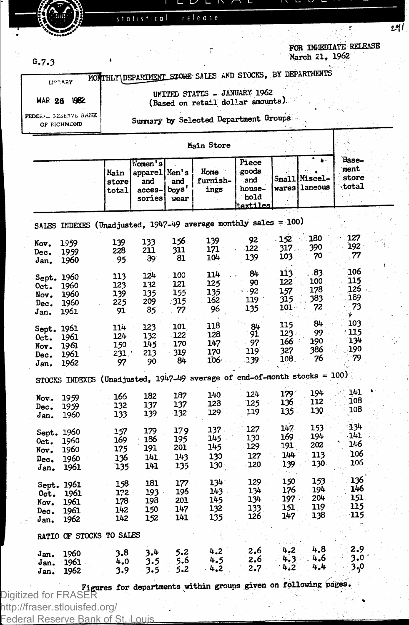

statistical release

É

29 l

**FOR MEDIAT E RELEASE**

÷

| G.7.3                            |                                                                                     |                           |                                                     |                          |                                                                   |                                                     |                                        | March $21, 1902$               |                                 |  |
|----------------------------------|-------------------------------------------------------------------------------------|---------------------------|-----------------------------------------------------|--------------------------|-------------------------------------------------------------------|-----------------------------------------------------|----------------------------------------|--------------------------------|---------------------------------|--|
|                                  | <b>LIPRARY</b>                                                                      |                           |                                                     |                          | MONTHLY DEPARTMENT STORE SALES AND STOCKS, BY DEPARTMENTS         |                                                     |                                        |                                |                                 |  |
|                                  | MAR 26 1982                                                                         |                           |                                                     |                          | UNITED STATES - JANUARY 1962<br>(Based on retail dollar amounts). |                                                     |                                        |                                |                                 |  |
|                                  | FEDERAL RESERVE BANK<br>OF RICHMOND                                                 |                           |                                                     |                          | Summary by Selected Department Groups                             |                                                     |                                        |                                |                                 |  |
|                                  |                                                                                     |                           |                                                     |                          | Main Store                                                        |                                                     |                                        |                                |                                 |  |
|                                  |                                                                                     | Main<br>store<br>total    | Momen's<br>apparel Men's<br>and<br>acces-<br>sories | and<br>boys'<br>wear     | Home<br>furnish-<br>ings                                          | Piece<br>goods<br>and<br>house-<br>hold<br>textiles |                                        | Small Miscel-<br>wares laneous | Base-<br>ment<br>store<br>total |  |
|                                  | SALES INDEXES (Unadjusted, 1947-49 average monthly sales = 100)                     |                           |                                                     |                          |                                                                   |                                                     |                                        |                                |                                 |  |
| Nov.<br>Dec.<br>Jan.             | 1959<br>1959<br>1960                                                                | 139<br>228<br>95          | 133<br>211<br>39.                                   | 156<br>311<br>81         | 139<br>171<br>104                                                 | 92<br>122<br>139                                    | .152<br>317.<br>103                    | 180<br>390<br>70               | 127<br>192.<br>77               |  |
| Oct.                             | Sept. 1960<br>1960                                                                  | 113<br>123<br>139         | 124<br>132<br>135                                   | 100<br>121<br>155        | 114<br>125<br>135                                                 | 84<br>90<br>92                                      | 113<br>122<br>$157^{\circ}$            | .83<br>100<br>178              | 106<br>115<br>126               |  |
| Nov.<br>Dec.<br>Jan.             | 1960<br>1960<br>1961                                                                | 225<br>91                 | 209<br>85                                           | -315<br>77               | 162<br>96                                                         | 119 ·<br>135                                        | 315.<br>101:                           | 383<br>72<br>84                | 189<br>73<br>ė.<br>103          |  |
| 0 <sub>ct.</sub><br>Nov.<br>Dec. | Sept. 1961<br>1961<br>1961<br>1961                                                  | 114<br>124<br>150<br>231. | 123<br>132<br>145<br>213                            | 101<br>122<br>170<br>319 | 118<br>128<br>147<br>170                                          | 84<br>91<br>97<br>119                               | 115<br>$123 -$<br>166 -<br>327<br>108. | 99<br>190<br>386<br>76         | 115<br>134<br>190<br>79         |  |
| Jan.                             | 1962<br>STOCKS INDEXES (Unadjusted, $1947-49$ average of end-of-month stocks = 100) | 97                        | 90                                                  | 84                       | 106.                                                              | 139                                                 |                                        |                                |                                 |  |
| Nov.<br>Dec.<br>Jan.             | 1959<br>1959<br>1960                                                                | 166<br>132<br>133         | 182<br>137<br>139                                   | 187<br>137<br>132        | 140<br>128<br>129                                                 | 124<br>125<br>119                                   | 179'<br>136<br>135                     | 194<br>112<br>130              | 141<br>108<br>108               |  |
| Oct.<br>Nov.                     | Sept. 1960<br>1960<br>1960                                                          | 157.<br>169<br>175        | 179<br>186<br>191                                   | 179<br>195<br>201        | 137.<br>145<br>145                                                | 127<br>130<br>129                                   | 147.<br>169.<br>191                    | $153 -$<br>194<br>202          | 134<br>$-141$<br>146<br>5 o Z   |  |

**Sept. 1961 158 181 177**<br>**Oct. 1961 172 193 196<br>Nov. 1961 178 198 201 Oct.** 1961 172 193<br>**Nov.** 1961 178 198 **Nov. 1961 178 198 201**  Dec. 1961 142 150 147<br>J<sub>an.</sub> 1962 142 152 141 **1962 RATIO OF STOCKS TO SALES Jan. I960 3.8 3.4 5-2 1961** 4.0<br>1962 3.9  $Jan.$ **143 145 132 135 4.2 4.5 4.2 134 134 i**26 **2.6 2.6 2.7**  150<br>176 **197 151 147 4.2 4.3 4.2 194 204 119 138 s 151 115 115 4.8 2.9 . 4.6 3.0\* 4.4 3-/>**

**127 120 129**  **191 144 139** 

**113 130 153**  **106 106** 

136

**Figures for departments within groups given on following pages.** Digitized for FRASER http://fraser.stlouisfed.org/ Federal Reserve Bank of St. Louis

**Nov. i960 175 191 201 Dec. I960 136 141 143** 

**1961**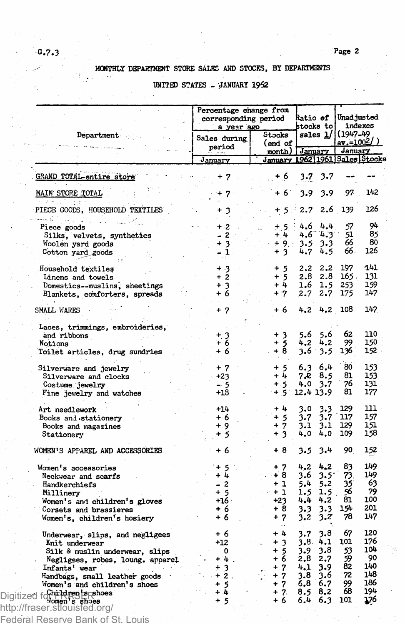# **MONTHLY DEPARTMENT STORE SALES AND STOCKS, BY DEPARTMENTS**

## **UNITED STATES - JANUARY 1952**

|                                                 | Percentage change from<br>corresponding period<br>a year ago |                   | Ratio of<br>stocks to | Unad justed<br>indexes<br>(1947-49<br><u>av.=1002/</u> |  |
|-------------------------------------------------|--------------------------------------------------------------|-------------------|-----------------------|--------------------------------------------------------|--|
| Department                                      | Sales during<br>period                                       | Stocks<br>(end of | sales 1/              |                                                        |  |
|                                                 | January                                                      | month)            | January               | January<br>January 1962 1961 Sales Stocks              |  |
| GRAND TOTAL-entire store                        | + 7                                                          | + 6               | 3.7<br>3.7            |                                                        |  |
| MAIN STORE TOTAL                                | + 7                                                          | + 6               | 3.9<br>3.9            | 97<br>142                                              |  |
| 化单硫酸盐医重氮酐<br>PIECE GOODS, HOUSEHOLD TEXTILES    | +<br>3                                                       | + 5               | 2.7<br>2.6            | 126<br>139                                             |  |
| ekan in<br>$\bar{a}$ , $\bar{a}$<br>Piece goods | $\cdot$<br>+                                                 | $+5$              | 4.6<br>4.4            | 94<br>57                                               |  |
| Silks, velvets, synthetics                      | 2                                                            | $+4$              | $4.6 - 4.3$           | 85<br>51                                               |  |
| Woolen yard goods                               | $+3$                                                         | $+9.1$            | 3.3<br>3.5            | 80<br>66                                               |  |
| Cotton yard goods                               | - 1                                                          | $+3$              | 4.5<br>4.7            | 126<br>66.                                             |  |
|                                                 |                                                              |                   |                       |                                                        |  |
| Household textiles                              | $+3$                                                         | $+5$              | 2,2<br>2,2            | -141<br>197                                            |  |
| Linens and towels                               | + 2                                                          | $+5$              | 2.8<br>2.8            | 131<br>165.                                            |  |
| Domestics--muslins, sheetings                   | $+3$                                                         | $+4$              | 1.6<br>1.5            | 159<br>253                                             |  |
| Blankets, comforters, spreads                   | + 6                                                          | $+7$              | 2.7<br>2.7            | 147<br>175                                             |  |
|                                                 |                                                              |                   |                       |                                                        |  |
| SMALL WARES                                     | + 7                                                          | + 6               | 4.2 4.2               | 147<br>108                                             |  |
| Laces, trimmings, embroideries,                 |                                                              |                   |                       |                                                        |  |
| and ribbons                                     |                                                              | + 3               | 5.6<br>5.6            | 62<br>110                                              |  |
| Notions                                         | $\frac{+}{+}$ 3                                              | $+5$              | 4,2<br>4.2            | 99<br>150                                              |  |
|                                                 | + 6                                                          | + 8               | 3.6<br>3.5            | 152<br>136                                             |  |
| Toilet articles, drug sundries                  |                                                              |                   |                       |                                                        |  |
| Silverware and jewelry                          | + 7                                                          | + 5               | 6.4<br>6.3            | 80<br>153                                              |  |
| Silverware and clocks                           | $+23$                                                        | $+4$              | 7.R<br>8.5            | 153<br>81                                              |  |
|                                                 | - 5                                                          | + 5               | 4.0<br>3.7            | 76<br>131                                              |  |
| Costume jewelry                                 | $+18$                                                        | $+5$              | 12.4 13.9             | 81<br>177                                              |  |
| Fine jewelry and watches                        |                                                              |                   |                       |                                                        |  |
| Art needlework                                  | $+14$                                                        | + 4               | 3.3<br>3.0            | 111<br>129                                             |  |
| Bocks and stationery                            | + 6                                                          |                   | 3.7<br>3.7            | 157<br>117                                             |  |
| Books and magazines                             | + 9                                                          | $1 + 5$           | 3.1<br>3.1            | 129<br>151                                             |  |
| Stationery                                      | + 5                                                          | + 3               | 4.0<br>4.0            | 158<br>109                                             |  |
|                                                 |                                                              |                   |                       |                                                        |  |
| WOMEN'S APPAREL AND ACCESSORIES                 | ÷<br>-6                                                      | + 8               | 3.5<br>3.4            | 90<br>152                                              |  |
| Women's accessories                             | $+5$                                                         | $+7$              | 4.2<br>4.2            | 149<br>83                                              |  |
| Neckwear and scarfs                             | $+4.$                                                        | $+8$              | 3.6<br>3.5            | 73.<br>149                                             |  |
| Handkerchiefs                                   | - 2                                                          | $+1$              | 5.4<br>5.2            | 63<br>35                                               |  |
| Millinery                                       | $+5$                                                         | $+1$              | 1.5<br>1.5            | 56<br>79                                               |  |
| Women's and children's gloves                   | +16 ·                                                        | $+23$             | 4.4<br>4.2            | 81<br>100                                              |  |
| Corsets and brassieres                          | + 6                                                          | $+8$              | 3.3<br>3.3            | 154<br>201                                             |  |
| Women's, children's hosiery                     | + 6                                                          | $+7$              | 3.2<br>3.2            | 147<br>78                                              |  |
| Underwear, slips, and negligees                 | + 6                                                          | + 4               | 3.8<br>3.7            | 120<br>67                                              |  |
| Knit underwear                                  | +12                                                          | $+3$              | 3.8<br>4.1            | 176<br>101                                             |  |
| Silk & muslin underwear, slips                  | 0                                                            |                   | 3.8<br>3.9            | 104<br>53                                              |  |
| Negligees, robes, loung. apparel                | $+4$                                                         | $+5$<br>+ 6       | 2.8<br>2.7            | 59<br>90                                               |  |
|                                                 | $+3$                                                         | $+7$              | 4.1<br>3.9            | 140<br>82                                              |  |
| Infants' wear                                   | $+2$ .                                                       |                   |                       | 72<br>148                                              |  |
| Handbags, small leather goods                   |                                                              | $+7$              | 3.6<br>3.8            | 186                                                    |  |
| Women's and children's shoes                    | 5<br>۰                                                       | $+7$              | 6.8<br>$-6.7$         | 99<br>194<br>68                                        |  |
| Digitized forments shoes                        | + 4                                                          | $+7.$             | 8.5<br>8,2            |                                                        |  |
|                                                 | +<br>5                                                       | + 6               | 6.4<br>6.3            | 176<br>-101                                            |  |
| http://fraser.stlouisted.org/                   |                                                              |                   |                       |                                                        |  |

3. . .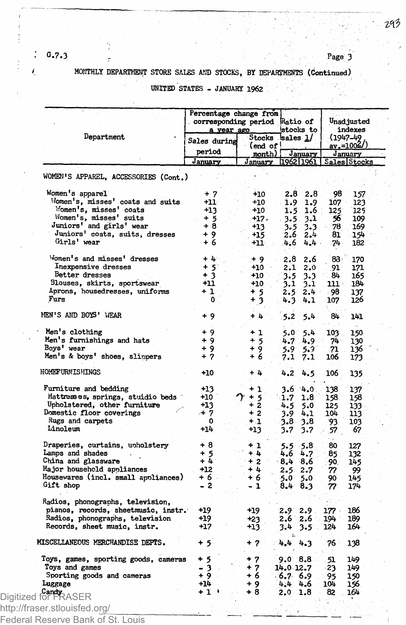**G.7.3 <sup>r</sup> Page 3**

# **MONTHLY DEPARTMENT STORE SALES AMD STOCKS, BY DEPARTMENTS (Continued)**

| UNITED STATES - JANUARY 1962 |  |  |  |
|------------------------------|--|--|--|
|------------------------------|--|--|--|

 $\overline{a}$ 

|                                      | Percentage change from<br>corresponding period<br>a year ago |                   | Ratio of<br>stocks to | Unadjusted<br>indexes |                         |
|--------------------------------------|--------------------------------------------------------------|-------------------|-----------------------|-----------------------|-------------------------|
| Department                           | Sales during                                                 |                   | Stocks sales 1/       |                       | (1947–49                |
|                                      | period                                                       | (end of !         |                       |                       | <u>av.=1002/)</u>       |
|                                      | <u>January</u>                                               | month)<br>January | January<br>1962 1961  |                       | January<br>Sales Stocks |
| WOMEN'S APPAREL, ACCESSORIES (Cont.) |                                                              |                   |                       |                       |                         |
|                                      |                                                              |                   |                       |                       |                         |
| Women's apparel                      | + 7                                                          | $+10$             | 2.8<br>2.8            | 98                    | 157                     |
| Momen's, misses' coats and suits     | $+11$                                                        | +10               | 1.9<br>1.9            | 107                   | 123                     |
| Women's, misses' coats               | $+13$                                                        | $+10$             | 1.5<br>1.6            | 125                   | 125                     |
| Women's, misses' suits               | $+5$                                                         | +17.              | $-3.5$ .<br>3.1       | 56                    | 109                     |
| Juniors' and girls' wear             | $+8$                                                         | $+13$             | $-3.5$<br>3.3         | 78                    | 169                     |
| Juniors' coats, suits, dresses       | + 9                                                          | +15               | 2.6<br>2.4            | 81.                   | 154                     |
| Girls' wear                          | + 6                                                          | +11               | 4.6<br>4.4            | 74.                   | 182                     |
| Women's and misses' dresses          | $+4.$                                                        | $+9$              | 2.8<br>2.6            | 83.                   | 170                     |
| Inexpensive dresses                  | $+5$                                                         | $+10$             | 2.1<br>2.0            | 91.                   | 171                     |
| Better dresses                       | $+3$                                                         | +10               | 3.5<br>3.3            | 84                    | 165                     |
| Blouses, skirts, sportswear          | +11                                                          | $+10$             | 3.1<br>3.1            | 111 -                 | 184                     |
| Aprons, housedresses, uniforms       | + 1                                                          | + 5               | $2.5$ 2.4             | 98                    | 137                     |
| Furs                                 | $\mathbf 0$                                                  | $+3$              | 4.3<br>4.1            | 107                   | 126                     |
| MEN'S AND BOYS' WEAR                 | + 9                                                          | $+4$              | .5.2<br>5.4           | 84.                   | 141                     |
| Men's clothing                       | $+9$                                                         | + 1               | 5.0<br>5.4            | 103.                  | 150                     |
| Men's furnishings and hats           | $+9$                                                         | $+5$              | 4.7<br>4.9            | 74∵                   | 130                     |
| Boys' wear                           | + 9                                                          | $+9$              | 5.9<br>5.9            | .71                   | 136                     |
| Men's & boys' shoes, slinpers        | $+7$                                                         | $+6$              | 7.1<br>7.1            | 106                   | 173                     |
| HOMET URNISHINGS                     | $+10$                                                        | + 4               | 4.2<br>4.5            | 106                   | 135                     |
| Furniture and bedding                | $+13$                                                        | + 1               | 3.6<br>4.0            | 138                   | 137                     |
| Mattresses, springs, stuidio beds    | +10                                                          | $+5$              | 1.7<br>1.8            | 158.                  | 158                     |
| Upholstered, other furniture         | $+13$                                                        | $+2$              | 4.5<br>5.0            | 125                   | 133 -                   |
| Domestic floor coverings             | ≁ 7                                                          | $+2$              | 4.1<br>3.9            | 104                   | 113                     |
| Rugs and carpets                     | 0                                                            | $+1$              | 3.8<br>3.8            | 93.                   | 103                     |
| Linoleum                             | +14                                                          | +13               | 3.7<br>3.7            | 57.                   | 67                      |
| Draperies, curtains, unholstery      | + 8                                                          | $+1$              | -5.8<br>5.5           | 80                    | 127                     |
| Lamps and shades                     | + 5                                                          | + 4               | 4.6<br>4.7            | 85                    | 132                     |
| China and glassware                  | + L                                                          | $+2$              | 8.4<br>$-8.6$         | 90.                   | 145                     |
| Major household appliances           | $+12$                                                        | $+4$              | 2.5.<br>2.7           | 77                    | 99                      |
| Housewares (incl. small appliances)  | +6.                                                          | + 6               | 5.0<br>5.0            | 90                    | 145                     |
| Gift shop                            | - 2                                                          | - 1               | $8.4^{\circ}$<br>8.3  | 77                    | 174                     |
| Radios, phonographs, television,     |                                                              |                   |                       |                       |                         |
| pianos, records, sheetmusic, instr.  | $+19$                                                        | +19               | 2.9<br>2.9.           | 177.                  | 186                     |
| Radios, phonographs, television      | +19                                                          | +23               | $2.6^{\circ}$<br>2.6  | 194                   | 189                     |
| Records, sheet music, instr.         | $+17$                                                        | +13               | 3.4<br>3.5            | 124                   | 164                     |
| MISCELLANEOUS MERCHANDISE DEPTS.     | $+5$                                                         | + 7               | 4,4<br>4.3            | 76                    | 138                     |
| Toys, games, sporting goods, cameras | + 5                                                          | + 7               | $9.0\;\;8.8$          | 51                    | 149                     |
| Toys and games                       | - 3                                                          | $+7$              | 14.0 12.7             | $-23$                 | 149                     |
| Sporting goods and cameras           | $+9$                                                         | + 6               | $-6.7 - 6.9$          | 95                    | 150                     |
| Luggage                              | +14                                                          | + 9               | 4.4 4.6               | 104                   | 156.                    |
| Digitized for FRASER                 | + 1                                                          | + 8               | $2.0 \t1.8$           | 82                    | 164                     |
|                                      |                                                              |                   |                       |                       |                         |

Federal Reserve Bank of St. Louis

 $\ddot{\cdot}$ ł.